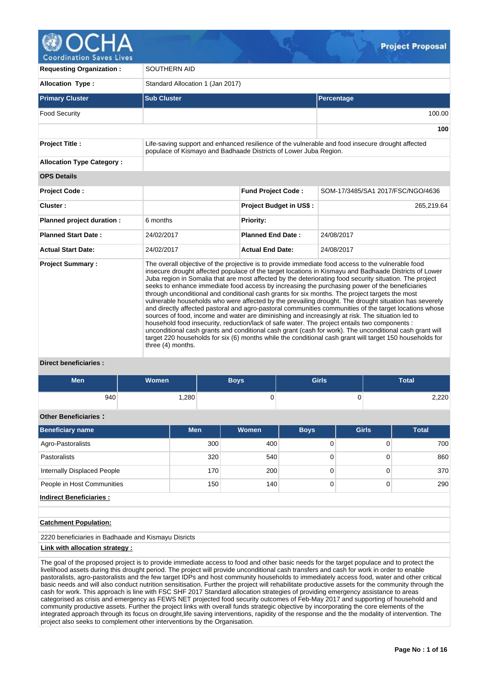**Coordination Saves Lives** 

| <b>Requesting Organization:</b>  | <b>SOUTHERN AID</b>                                                                                                                                                                                                                                                                                                                                                                                                                                                                                                                                                                                                                                                                                                                                                                                                                                                                                                                                                                                                                                                                                                                                                                            |                                |                                                                                                  |  |  |  |  |  |  |
|----------------------------------|------------------------------------------------------------------------------------------------------------------------------------------------------------------------------------------------------------------------------------------------------------------------------------------------------------------------------------------------------------------------------------------------------------------------------------------------------------------------------------------------------------------------------------------------------------------------------------------------------------------------------------------------------------------------------------------------------------------------------------------------------------------------------------------------------------------------------------------------------------------------------------------------------------------------------------------------------------------------------------------------------------------------------------------------------------------------------------------------------------------------------------------------------------------------------------------------|--------------------------------|--------------------------------------------------------------------------------------------------|--|--|--|--|--|--|
| <b>Allocation Type:</b>          | Standard Allocation 1 (Jan 2017)                                                                                                                                                                                                                                                                                                                                                                                                                                                                                                                                                                                                                                                                                                                                                                                                                                                                                                                                                                                                                                                                                                                                                               |                                |                                                                                                  |  |  |  |  |  |  |
| <b>Primary Cluster</b>           | <b>Sub Cluster</b>                                                                                                                                                                                                                                                                                                                                                                                                                                                                                                                                                                                                                                                                                                                                                                                                                                                                                                                                                                                                                                                                                                                                                                             |                                | Percentage                                                                                       |  |  |  |  |  |  |
| <b>Food Security</b>             |                                                                                                                                                                                                                                                                                                                                                                                                                                                                                                                                                                                                                                                                                                                                                                                                                                                                                                                                                                                                                                                                                                                                                                                                |                                | 100.00                                                                                           |  |  |  |  |  |  |
|                                  |                                                                                                                                                                                                                                                                                                                                                                                                                                                                                                                                                                                                                                                                                                                                                                                                                                                                                                                                                                                                                                                                                                                                                                                                |                                | 100                                                                                              |  |  |  |  |  |  |
| <b>Project Title:</b>            | populace of Kismayo and Badhaade Districts of Lower Juba Region.                                                                                                                                                                                                                                                                                                                                                                                                                                                                                                                                                                                                                                                                                                                                                                                                                                                                                                                                                                                                                                                                                                                               |                                | Life-saving support and enhanced resilience of the vulnerable and food insecure drought affected |  |  |  |  |  |  |
| <b>Allocation Type Category:</b> |                                                                                                                                                                                                                                                                                                                                                                                                                                                                                                                                                                                                                                                                                                                                                                                                                                                                                                                                                                                                                                                                                                                                                                                                |                                |                                                                                                  |  |  |  |  |  |  |
| <b>OPS Details</b>               |                                                                                                                                                                                                                                                                                                                                                                                                                                                                                                                                                                                                                                                                                                                                                                                                                                                                                                                                                                                                                                                                                                                                                                                                |                                |                                                                                                  |  |  |  |  |  |  |
| Project Code:                    |                                                                                                                                                                                                                                                                                                                                                                                                                                                                                                                                                                                                                                                                                                                                                                                                                                                                                                                                                                                                                                                                                                                                                                                                | <b>Fund Project Code:</b>      | SOM-17/3485/SA1 2017/FSC/NGO/4636                                                                |  |  |  |  |  |  |
| Cluster:                         |                                                                                                                                                                                                                                                                                                                                                                                                                                                                                                                                                                                                                                                                                                                                                                                                                                                                                                                                                                                                                                                                                                                                                                                                | <b>Project Budget in US\$:</b> | 265,219.64                                                                                       |  |  |  |  |  |  |
| Planned project duration :       | 6 months                                                                                                                                                                                                                                                                                                                                                                                                                                                                                                                                                                                                                                                                                                                                                                                                                                                                                                                                                                                                                                                                                                                                                                                       | Priority:                      |                                                                                                  |  |  |  |  |  |  |
| <b>Planned Start Date:</b>       | 24/02/2017                                                                                                                                                                                                                                                                                                                                                                                                                                                                                                                                                                                                                                                                                                                                                                                                                                                                                                                                                                                                                                                                                                                                                                                     | <b>Planned End Date:</b>       | 24/08/2017                                                                                       |  |  |  |  |  |  |
| <b>Actual Start Date:</b>        | 24/02/2017                                                                                                                                                                                                                                                                                                                                                                                                                                                                                                                                                                                                                                                                                                                                                                                                                                                                                                                                                                                                                                                                                                                                                                                     | <b>Actual End Date:</b>        | 24/08/2017                                                                                       |  |  |  |  |  |  |
| <b>Project Summary:</b>          | The overall objective of the projective is to provide immediate food access to the vulnerable food<br>insecure drought affected populace of the target locations in Kismayu and Badhaade Districts of Lower<br>Juba region in Somalia that are most affected by the deteriorating food security situation. The project<br>seeks to enhance immediate food access by increasing the purchasing power of the beneficiaries<br>through unconditional and conditional cash grants for six months. The project targets the most<br>vulnerable households who were affected by the prevailing drought. The drought situation has severely<br>and directly affected pastoral and agro-pastoral communities communities of the target locations whose<br>sources of food, income and water are diminishing and increasingly at risk. The situation led to<br>household food insecurity, reduction/lack of safe water. The project entails two components :<br>unconditional cash grants and conditional cash grant (cash for work). The unconditional cash grant will<br>target 220 households for six (6) months while the conditional cash grant will target 150 households for<br>three (4) months. |                                |                                                                                                  |  |  |  |  |  |  |

# **Direct beneficiaries :**

| <b>Men</b> | <b>Women</b> | Boys | <b>Girls</b> | Total |
|------------|--------------|------|--------------|-------|
| 940        | ,280         | ື    | ν            | 2,220 |

# **Other Beneficiaries :**

| <b>Beneficiary name</b>     | <b>Men</b> | <b>Women</b> | <b>Boys</b> | <b>Girls</b> | <b>Total</b> |
|-----------------------------|------------|--------------|-------------|--------------|--------------|
| Agro-Pastoralists           | 300        | 400          |             |              | 700          |
| Pastoralists                | 320        | 540          |             | 0            | 860          |
| Internally Displaced People | 170        | 200          |             |              | 370          |
| People in Host Communities  | 150        | 140          | 0           |              | 290          |
| Indirect Beneficiaries:     |            |              |             |              |              |

## **Catchment Population:**

2220 beneficiaries in Badhaade and Kismayu Disricts

#### **Link with allocation strategy :**

The goal of the proposed project is to provide immediate access to food and other basic needs for the target populace and to protect the livelihood assets during this drought period. The project will provide unconditional cash transfers and cash for work in order to enable pastoralists, agro-pastoralists and the few target IDPs and host community households to immediately access food, water and other critical basic needs and will also conduct nutrition sensitisation. Further the project will rehabilitate productive assets for the community through the cash for work. This approach is line with FSC SHF 2017 Standard allocation strategies of providing emergency assistance to areas categorised as crisis and emergency as FEWS NET projected food security outcomes of Feb-May 2017 and supporting of household and community productive assets. Further the project links with overall funds strategic objective by incorporating the core elements of the integrated approach through its focus on drought,life saving interventions, rapidity of the response and the the modality of intervention. The project also seeks to complement other interventions by the Organisation.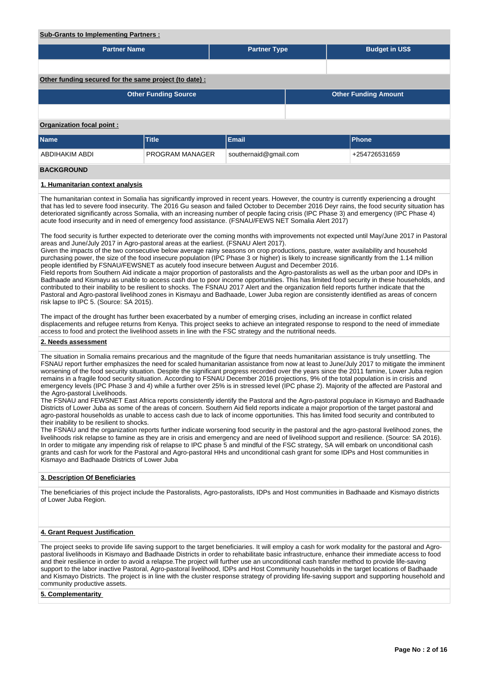#### **Sub-Grants to Implementing Partners :**

| <b>Partner Name</b>                                    |                             | <b>Partner Type</b>   |  | <b>Budget in US\$</b>       |  |  |  |  |  |  |  |  |
|--------------------------------------------------------|-----------------------------|-----------------------|--|-----------------------------|--|--|--|--|--|--|--|--|
|                                                        |                             |                       |  |                             |  |  |  |  |  |  |  |  |
| Other funding secured for the same project (to date) : |                             |                       |  |                             |  |  |  |  |  |  |  |  |
|                                                        | <b>Other Funding Source</b> |                       |  | <b>Other Funding Amount</b> |  |  |  |  |  |  |  |  |
|                                                        |                             |                       |  |                             |  |  |  |  |  |  |  |  |
| Organization focal point:                              |                             |                       |  |                             |  |  |  |  |  |  |  |  |
| <b>Name</b>                                            | <b>Title</b>                | <b>Email</b>          |  | <b>Phone</b>                |  |  |  |  |  |  |  |  |
| <b>ABDIHAKIM ABDI</b>                                  | <b>PROGRAM MANAGER</b>      | southernaid@gmail.com |  | +254726531659               |  |  |  |  |  |  |  |  |
| <b>BACKGROUND</b>                                      |                             |                       |  |                             |  |  |  |  |  |  |  |  |
| 1. Humanitarian context analysis                       |                             |                       |  |                             |  |  |  |  |  |  |  |  |

The humanitarian context in Somalia has significantly improved in recent years. However, the country is currently experiencing a drought that has led to severe food insecurity. The 2016 Gu season and failed October to December 2016 Deyr rains, the food security situation has deteriorated significantly across Somalia, with an increasing number of people facing crisis (IPC Phase 3) and emergency (IPC Phase 4) acute food insecurity and in need of emergency food assistance. (FSNAU/FEWS NET Somalia Alert 2017)

The food security is further expected to deteriorate over the coming months with improvements not expected until May/June 2017 in Pastoral areas and June/July 2017 in Agro-pastoral areas at the earliest. (FSNAU Alert 2017).

Given the impacts of the two consecutive below average rainy seasons on crop productions, pasture, water availability and household purchasing power, the size of the food insecure population (IPC Phase 3 or higher) is likely to increase significantly from the 1.14 million people identified by FSNAU/FEWSNET as acutely food insecure between August and December 2016.

Field reports from Southern Aid indicate a major proportion of pastoralists and the Agro-pastoralists as well as the urban poor and IDPs in Badhaade and Kismayu as unable to access cash due to poor income opportunities. This has limited food security in these households, and contributed to their inability to be resilient to shocks. The FSNAU 2017 Alert and the organization field reports further indicate that the Pastoral and Agro-pastoral livelihood zones in Kismayu and Badhaade, Lower Juba region are consistently identified as areas of concern risk lapse to IPC 5. (Source: SA 2015).

The impact of the drought has further been exacerbated by a number of emerging crises, including an increase in conflict related displacements and refugee returns from Kenya. This project seeks to achieve an integrated response to respond to the need of immediate access to food and protect the livelihood assets in line with the FSC strategy and the nutritional needs.

## **2. Needs assessment**

The situation in Somalia remains precarious and the magnitude of the figure that needs humanitarian assistance is truly unsettling. The FSNAU report further emphasizes the need for scaled humanitarian assistance from now at least to June/July 2017 to mitigate the imminent worsening of the food security situation. Despite the significant progress recorded over the years since the 2011 famine, Lower Juba region remains in a fragile food security situation. According to FSNAU December 2016 projections, 9% of the total population is in crisis and emergency levels (IPC Phase 3 and 4) while a further over 25% is in stressed level (IPC phase 2). Majority of the affected are Pastoral and the Agro-pastoral Livelihoods.

The FSNAU and FEWSNET East Africa reports consistently identify the Pastoral and the Agro-pastoral populace in Kismayo and Badhaade Districts of Lower Juba as some of the areas of concern. Southern Aid field reports indicate a major proportion of the target pastoral and agro-pastoral households as unable to access cash due to lack of income opportunities. This has limited food security and contributed to their inability to be resilient to shocks.

The FSNAU and the organization reports further indicate worsening food security in the pastoral and the agro-pastoral livelihood zones, the livelihoods risk relapse to famine as they are in crisis and emergency and are need of livelihood support and resilience. (Source: SA 2016). In order to mitigate any impending risk of relapse to IPC phase 5 and mindful of the FSC strategy, SA will embark on unconditional cash grants and cash for work for the Pastoral and Agro-pastoral HHs and unconditional cash grant for some IDPs and Host communities in Kismayo and Badhaade Districts of Lower Juba

## **3. Description Of Beneficiaries**

The beneficiaries of this project include the Pastoralists, Agro-pastoralists, IDPs and Host communities in Badhaade and Kismayo districts of Lower Juba Region.

## **4. Grant Request Justification**

The project seeks to provide life saving support to the target beneficiaries. It will employ a cash for work modality for the pastoral and Agropastoral livelihoods in Kismayo and Badhaade Districts in order to rehabilitate basic infrastructure, enhance their immediate access to food and their resilience in order to avoid a relapse.The project will further use an unconditional cash transfer method to provide life-saving support to the labor inactive Pastoral, Agro-pastoral livelihood, IDPs and Host Community households in the target locations of Badhaade and Kismayo Districts. The project is in line with the cluster response strategy of providing life-saving support and supporting household and community productive assets.

#### **5. Complementarity**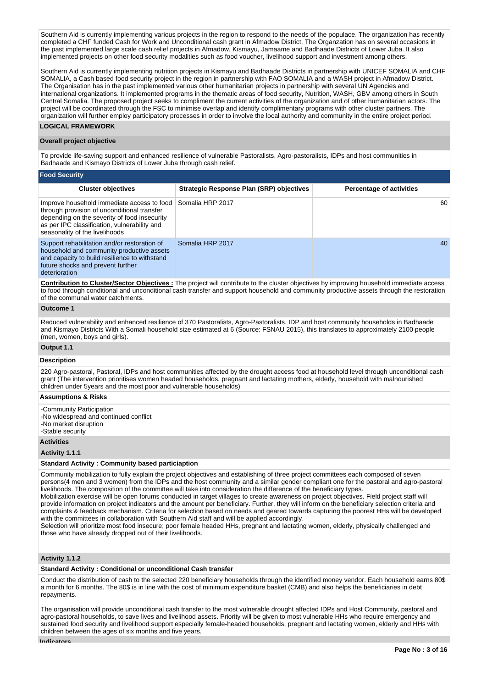Southern Aid is currently implementing various projects in the region to respond to the needs of the populace. The organization has recently completed a CHF funded Cash for Work and Unconditional cash grant in Afmadow District. The Organzation has on several occasions in the past implemented large scale cash relief projects in Afmadow, Kismayu, Jamaame and Badhaade Districts of Lower Juba. It also implemented projects on other food security modalities such as food voucher, livelihood support and investment among others.

Southern Aid is currently implementing nutrition projects in Kismayu and Badhaade Districts in partnership with UNICEF SOMALIA and CHF SOMALIA, a Cash based food security project in the region in partnership with FAO SOMALIA and a WASH project in Afmadow District. The Organisation has in the past implemented various other humanitarian projects in partnership with several UN Agencies and international organizations. It implemented programs in the thematic areas of food security, Nutrition, WASH, GBV among others in South Central Somalia. The proposed project seeks to compliment the current activities of the organization and of other humanitarian actors. The project will be coordinated through the FSC to minimise overlap and identify complimentary programs with other cluster partners. The organization will further employ participatory processes in order to involve the local authority and community in the entire project period.

# **LOGICAL FRAMEWORK**

## **Overall project objective**

To provide life-saving support and enhanced resilience of vulnerable Pastoralists, Agro-pastoralists, IDPs and host communities in Badhaade and Kismayo Districts of Lower Juba through cash relief.

| <b>Food Security</b>                                                                                                                                                                                                        |                                                 |                                 |
|-----------------------------------------------------------------------------------------------------------------------------------------------------------------------------------------------------------------------------|-------------------------------------------------|---------------------------------|
| <b>Cluster objectives</b>                                                                                                                                                                                                   | <b>Strategic Response Plan (SRP) objectives</b> | <b>Percentage of activities</b> |
| Improve household immediate access to food<br>through provision of unconditional transfer<br>depending on the severity of food insecurity<br>as per IPC classification, vulnerability and<br>seasonality of the livelihoods | Somalia HRP 2017                                | 60                              |
| Support rehabilitation and/or restoration of<br>household and community productive assets<br>and capacity to build resilience to withstand<br>future shocks and prevent further<br>deterioration                            | Somalia HRP 2017                                | 40                              |

**Contribution to Cluster/Sector Objectives :** The project will contribute to the cluster objectives by improving household immediate access to food through conditional and unconditional cash transfer and support household and community productive assets through the restoration of the communal water catchments.

## **Outcome 1**

Reduced vulnerability and enhanced resilience of 370 Pastoralists, Agro-Pastoralists, IDP and host community households in Badhaade and Kismayo Districts With a Somali household size estimated at 6 (Source: FSNAU 2015), this translates to approximately 2100 people (men, women, boys and girls).

# **Output 1.1 Description**

220 Agro-pastoral, Pastoral, IDPs and host communities affected by the drought access food at household level through unconditional cash grant (The intervention prioritises women headed households, pregnant and lactating mothers, elderly, household with malnourished children under 5years and the most poor and vulnerable households)

## **Assumptions & Risks**

-Community Participation -No widespread and continued conflict -No market disruption -Stable security

#### **Activities**

**Activity 1.1.1** 

## **Standard Activity : Community based particiaption**

Community mobilization to fully explain the project objectives and establishing of three project committees each composed of seven persons(4 men and 3 women) from the IDPs and the host community and a similar gender compliant one for the pastoral and agro-pastoral livelihoods. The composition of the committee will take into consideration the difference of the beneficiary types.

Mobilization exercise will be open forums conducted in target villages to create awareness on project objectives. Field project staff will provide information on project indicators and the amount per beneficiary. Further, they will inform on the beneficiary selection criteria and complaints & feedback mechanism. Criteria for selection based on needs and geared towards capturing the poorest HHs will be developed with the committees in collaboration with Southern Aid staff and will be applied accordingly.

Selection will prioritize most food insecure; poor female headed HHs, pregnant and lactating women, elderly, physically challenged and those who have already dropped out of their livelihoods.

# **Activity 1.1.2**

## **Standard Activity : Conditional or unconditional Cash transfer**

Conduct the distribution of cash to the selected 220 beneficiary households through the identified money vendor. Each household earns 80\$ a month for 6 months. The 80\$ is in line with the cost of minimum expenditure basket (CMB) and also helps the beneficiaries in debt repayments.

The organisation will provide unconditional cash transfer to the most vulnerable drought affected IDPs and Host Community, pastoral and agro-pastoral households, to save lives and livelihood assets. Priority will be given to most vulnerable HHs who require emergency and sustained food security and livelihood support especially female-headed households, pregnant and lactating women, elderly and HHs with children between the ages of six months and five years.

**Indicators**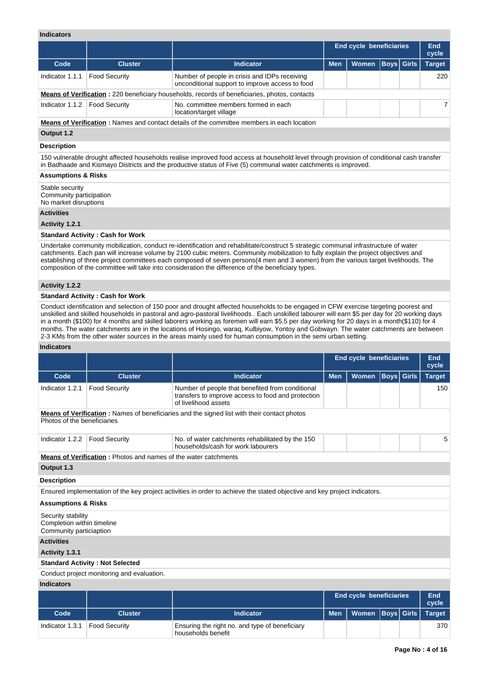# **Indicators**

|                                                                                                            |                                         |                                                                                                                                                                                                                                                             | End cycle beneficiaries |       |  |                   |               |  | End<br>cycle |  |
|------------------------------------------------------------------------------------------------------------|-----------------------------------------|-------------------------------------------------------------------------------------------------------------------------------------------------------------------------------------------------------------------------------------------------------------|-------------------------|-------|--|-------------------|---------------|--|--------------|--|
| Code                                                                                                       | <b>Cluster</b>                          | <b>Indicator</b>                                                                                                                                                                                                                                            | <b>Men</b>              | Women |  | <b>Boys Girls</b> | <b>Target</b> |  |              |  |
| Indicator 1.1.1                                                                                            | <b>Food Security</b>                    | Number of people in crisis and IDPs receiving<br>unconditional support to improve access to food                                                                                                                                                            |                         |       |  |                   | 220           |  |              |  |
| <b>Means of Verification:</b> 220 beneficiary households, records of beneficiaries, photos, contacts       |                                         |                                                                                                                                                                                                                                                             |                         |       |  |                   |               |  |              |  |
| Indicator 1.1.2<br><b>Food Security</b><br>No. committee members formed in each<br>location/target village |                                         |                                                                                                                                                                                                                                                             |                         |       |  |                   |               |  |              |  |
|                                                                                                            |                                         | <b>Means of Verification:</b> Names and contact details of the committee members in each location                                                                                                                                                           |                         |       |  |                   |               |  |              |  |
| Output 1.2                                                                                                 |                                         |                                                                                                                                                                                                                                                             |                         |       |  |                   |               |  |              |  |
| <b>Description</b>                                                                                         |                                         |                                                                                                                                                                                                                                                             |                         |       |  |                   |               |  |              |  |
|                                                                                                            |                                         | 150 vulnerable drought affected households realise improved food access at household level through provision of conditional cash transfer<br>in Badhaade and Kismayo Districts and the productive status of Five (5) communal water catchments is improved. |                         |       |  |                   |               |  |              |  |
| <b>Assumptions &amp; Risks</b>                                                                             |                                         |                                                                                                                                                                                                                                                             |                         |       |  |                   |               |  |              |  |
| Stable security<br>Community participation<br>No market disruptions                                        |                                         |                                                                                                                                                                                                                                                             |                         |       |  |                   |               |  |              |  |
| <b>Activities</b>                                                                                          |                                         |                                                                                                                                                                                                                                                             |                         |       |  |                   |               |  |              |  |
| Activity 1.2.1                                                                                             |                                         |                                                                                                                                                                                                                                                             |                         |       |  |                   |               |  |              |  |
|                                                                                                            | <b>Standard Activity: Cash for Work</b> |                                                                                                                                                                                                                                                             |                         |       |  |                   |               |  |              |  |
|                                                                                                            |                                         | Undertake community mobilization, conduct re-identification and rehabilitate/construct 5 strategic communal infrastructure of water                                                                                                                         |                         |       |  |                   |               |  |              |  |

catchments. Each pan will increase volume by 2100 cubic meters. Community mobilization to fully explain the project objectives and establishing of three project committees each composed of seven persons(4 men and 3 women) from the various target livelihoods. The composition of the committee will take into consideration the difference of the beneficiary types.

#### **Activity 1.2.2**

#### **Standard Activity : Cash for Work**

Conduct identification and selection of 150 poor and drought affected households to be engaged in CFW exercise targeting poorest and unskilled and skilled households in pastoral and agro-pastoral livelihoods . Each unskilled labourer will earn \$5 per day for 20 working days in a month (\$100) for 4 months and skilled laborers working as foremen will earn \$5.5 per day working for 20 days in a month(\$110) for 4 months. The water catchments are in the locations of Hosingo, waraq, Kulbiyow, Yontoy and Gobwayn. The water catchments are between 2-3 KMs from the other water sources in the areas mainly used for human consumption in the semi urban setting.

## **Indicators**

|                                                                                                                                   |                                                                        |                                                                                                                                |            | <b>End cycle beneficiaries</b><br>End<br>cycle |                   |     |               |  |  |  |  |  |  |
|-----------------------------------------------------------------------------------------------------------------------------------|------------------------------------------------------------------------|--------------------------------------------------------------------------------------------------------------------------------|------------|------------------------------------------------|-------------------|-----|---------------|--|--|--|--|--|--|
| Code                                                                                                                              | <b>Cluster</b>                                                         | <b>Indicator</b>                                                                                                               | <b>Men</b> | Women                                          | <b>Boys Girls</b> |     | <b>Target</b> |  |  |  |  |  |  |
| Indicator 1.2.1                                                                                                                   | <b>Food Security</b>                                                   | Number of people that benefited from conditional<br>transfers to improve access to food and protection<br>of livelihood assets |            |                                                |                   | 150 |               |  |  |  |  |  |  |
| <b>Means of Verification:</b> Names of beneficiaries and the signed list with their contact photos<br>Photos of the beneficiaries |                                                                        |                                                                                                                                |            |                                                |                   |     |               |  |  |  |  |  |  |
| Indicator 1.2.2                                                                                                                   | <b>Food Security</b>                                                   | No. of water catchments rehabilitated by the 150<br>households/cash for work labourers                                         |            |                                                |                   |     | 5             |  |  |  |  |  |  |
|                                                                                                                                   | <b>Means of Verification:</b> Photos and names of the water catchments |                                                                                                                                |            |                                                |                   |     |               |  |  |  |  |  |  |
| Output 1.3                                                                                                                        |                                                                        |                                                                                                                                |            |                                                |                   |     |               |  |  |  |  |  |  |
| <b>Description</b>                                                                                                                |                                                                        |                                                                                                                                |            |                                                |                   |     |               |  |  |  |  |  |  |
|                                                                                                                                   |                                                                        | Ensured implementation of the key project activities in order to achieve the stated objective and key project indicators.      |            |                                                |                   |     |               |  |  |  |  |  |  |
| <b>Assumptions &amp; Risks</b>                                                                                                    |                                                                        |                                                                                                                                |            |                                                |                   |     |               |  |  |  |  |  |  |
| Security stability<br>Completion within timeline<br>Community particiaption                                                       |                                                                        |                                                                                                                                |            |                                                |                   |     |               |  |  |  |  |  |  |
| <b>Activities</b>                                                                                                                 |                                                                        |                                                                                                                                |            |                                                |                   |     |               |  |  |  |  |  |  |
| Activity 1.3.1                                                                                                                    |                                                                        |                                                                                                                                |            |                                                |                   |     |               |  |  |  |  |  |  |
|                                                                                                                                   | <b>Standard Activity: Not Selected</b>                                 |                                                                                                                                |            |                                                |                   |     |               |  |  |  |  |  |  |
|                                                                                                                                   | Conduct project monitoring and evaluation.                             |                                                                                                                                |            |                                                |                   |     |               |  |  |  |  |  |  |
| <b>Indicators</b>                                                                                                                 |                                                                        |                                                                                                                                |            |                                                |                   |     |               |  |  |  |  |  |  |
|                                                                                                                                   |                                                                        |                                                                                                                                |            | <b>End cycle beneficiaries</b>                 |                   |     | End<br>cycle  |  |  |  |  |  |  |
| Code                                                                                                                              | <b>Cluster</b>                                                         | <b>Indicator</b>                                                                                                               | <b>Men</b> | <b>Women</b>                                   | <b>Boys</b> Girls |     | <b>Target</b> |  |  |  |  |  |  |

Indicator 1.3.1 Food Security Ensuring the right no. and type of beneficiary

households benefit

370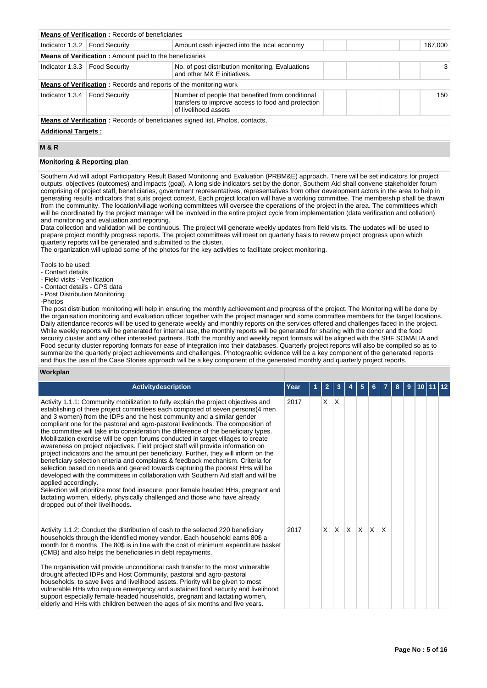| <b>Means of Verification: Records of beneficiaries</b>                                |                                                                   |                                                                                                                                |  |  |  |  |         |  |  |  |
|---------------------------------------------------------------------------------------|-------------------------------------------------------------------|--------------------------------------------------------------------------------------------------------------------------------|--|--|--|--|---------|--|--|--|
| Indicator 1.3.2   Food Security                                                       |                                                                   | Amount cash injected into the local economy                                                                                    |  |  |  |  | 167,000 |  |  |  |
| <b>Means of Verification:</b> Amount paid to the beneficiaries                        |                                                                   |                                                                                                                                |  |  |  |  |         |  |  |  |
| Indicator 1.3.3   Food Security                                                       |                                                                   | No. of post distribution monitoring, Evaluations<br>and other M& E initiatives.                                                |  |  |  |  | 3       |  |  |  |
|                                                                                       | Means of Verification: Records and reports of the monitoring work |                                                                                                                                |  |  |  |  |         |  |  |  |
| Indicator 1.3.4   Food Security                                                       |                                                                   | Number of people that benefited from conditional<br>transfers to improve access to food and protection<br>of livelihood assets |  |  |  |  | 150     |  |  |  |
| <b>Means of Verification:</b> Records of beneficiaries signed list, Photos, contacts, |                                                                   |                                                                                                                                |  |  |  |  |         |  |  |  |
| <b>Additional Targets:</b>                                                            |                                                                   |                                                                                                                                |  |  |  |  |         |  |  |  |

# **M & R**

#### **Monitoring & Reporting plan**

Southern Aid will adopt Participatory Result Based Monitoring and Evaluation (PRBM&E) approach. There will be set indicators for project outputs, objectives (outcomes) and impacts (goal). A long side indicators set by the donor, Southern Aid shall convene stakeholder forum comprising of project staff, beneficiaries, government representatives, representatives from other development actors in the area to help in generating results indicators that suits project context. Each project location will have a working committee. The membership shall be drawn from the community. The location/village working committees will oversee the operations of the project in the area. The committees which will be coordinated by the project manager will be involved in the entire project cycle from implementation (data verification and collation) and monitoring and evaluation and reporting.

Data collection and validation will be continuous. The project will generate weekly updates from field visits. The updates will be used to prepare project monthly progress reports. The project committees will meet on quarterly basis to review project progress upon which quarterly reports will be generated and submitted to the cluster.

The organization will upload some of the photos for the key activities to facilitate project monitoring.

Tools to be used:

- Contact details

- Field visits - Verification

- Contact details - GPS data

- Post Distribution Monitoring

-Photos

The post distribution monitoring will help in ensuring the monthly achievement and progress of the project. The Monitoring will be done by the organisation monitoring and evaluation officer together with the project manager and some committee members for the target locations. Daily attendance records will be used to generate weekly and monthly reports on the services offered and challenges faced in the project. While weekly reports will be generated for internal use, the monthly reports will be generated for sharing with the donor and the food security cluster and any other interested partners. Both the monthly and weekly report formats will be aligned with the SHF SOMALIA and Food security cluster reporting formats for ease of integration into their databases. Quarterly project reports will also be compiled so as to summarize the quarterly project achievements and challenges. Photographic evidence will be a key component of the generated reports and thus the use of the Case Stories approach will be a key component of the generated monthly and quarterly project reports.

#### **Workplan**

| <b>Activitydescription</b>                                                                                                                                                                                                                                                                                                                                                                                                                                                                                                                                                                                                                                                                                                                                                                                                                                                                                                                                                                                                                                                                                                                                                          | Year | $\overline{2}$ | 3            |     | 5        | 6            |              | 8 | 9 | 10 |  |
|-------------------------------------------------------------------------------------------------------------------------------------------------------------------------------------------------------------------------------------------------------------------------------------------------------------------------------------------------------------------------------------------------------------------------------------------------------------------------------------------------------------------------------------------------------------------------------------------------------------------------------------------------------------------------------------------------------------------------------------------------------------------------------------------------------------------------------------------------------------------------------------------------------------------------------------------------------------------------------------------------------------------------------------------------------------------------------------------------------------------------------------------------------------------------------------|------|----------------|--------------|-----|----------|--------------|--------------|---|---|----|--|
| Activity 1.1.1: Community mobilization to fully explain the project objectives and<br>establishing of three project committees each composed of seven persons(4 men<br>and 3 women) from the IDPs and the host community and a similar gender<br>compliant one for the pastoral and agro-pastoral livelihoods. The composition of<br>the committee will take into consideration the difference of the beneficiary types.<br>Mobilization exercise will be open forums conducted in target villages to create<br>awareness on project objectives. Field project staff will provide information on<br>project indicators and the amount per beneficiary. Further, they will inform on the<br>beneficiary selection criteria and complaints & feedback mechanism. Criteria for<br>selection based on needs and geared towards capturing the poorest HHs will be<br>developed with the committees in collaboration with Southern Aid staff and will be<br>applied accordingly.<br>Selection will prioritize most food insecure; poor female headed HHs, pregnant and<br>lactating women, elderly, physically challenged and those who have already<br>dropped out of their livelihoods. | 2017 | X.             | $\mathsf{X}$ |     |          |              |              |   |   |    |  |
| Activity 1.1.2: Conduct the distribution of cash to the selected 220 beneficiary<br>households through the identified money vendor. Each household earns 80\$ a<br>month for 6 months. The 80\$ is in line with the cost of minimum expenditure basket<br>(CMB) and also helps the beneficiaries in debt repayments.<br>The organisation will provide unconditional cash transfer to the most vulnerable<br>drought affected IDPs and Host Community, pastoral and agro-pastoral<br>households, to save lives and livelihood assets. Priority will be given to most<br>vulnerable HHs who require emergency and sustained food security and livelihood<br>support especially female-headed households, pregnant and lactating women,<br>elderly and HHs with children between the ages of six months and five years.                                                                                                                                                                                                                                                                                                                                                                | 2017 | X              | ΙX.          | ΙX. | $\times$ | $\mathsf{X}$ | $\mathsf{X}$ |   |   |    |  |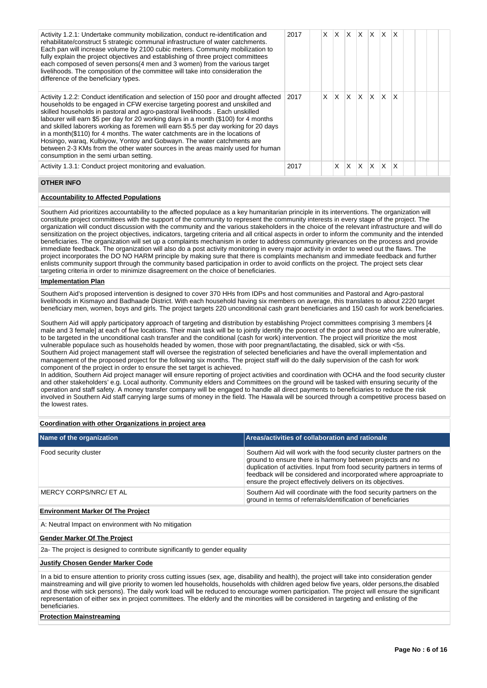| Activity 1.2.1: Undertake community mobilization, conduct re-identification and<br>rehabilitate/construct 5 strategic communal infrastructure of water catchments.<br>Each pan will increase volume by 2100 cubic meters. Community mobilization to<br>fully explain the project objectives and establishing of three project committees<br>each composed of seven persons(4 men and 3 women) from the various target<br>livelihoods. The composition of the committee will take into consideration the<br>difference of the beneficiary types.                                                                                                                                                                            | 2017 | X. | X        | X. | ΙX.          |   | XX      | $\mathsf{X}$ |  |  |
|----------------------------------------------------------------------------------------------------------------------------------------------------------------------------------------------------------------------------------------------------------------------------------------------------------------------------------------------------------------------------------------------------------------------------------------------------------------------------------------------------------------------------------------------------------------------------------------------------------------------------------------------------------------------------------------------------------------------------|------|----|----------|----|--------------|---|---------|--------------|--|--|
| Activity 1.2.2: Conduct identification and selection of 150 poor and drought affected<br>households to be engaged in CFW exercise targeting poorest and unskilled and<br>skilled households in pastoral and agro-pastoral livelihoods . Each unskilled<br>labourer will earn \$5 per day for 20 working days in a month (\$100) for 4 months<br>and skilled laborers working as foremen will earn \$5.5 per day working for 20 days<br>in a month(\$110) for 4 months. The water catchments are in the locations of<br>Hosingo, waraq, Kulbiyow, Yontoy and Gobwayn. The water catchments are<br>between 2-3 KMs from the other water sources in the areas mainly used for human<br>consumption in the semi urban setting. | 2017 | X  | $\times$ | X  | <sup>X</sup> |   | $X$ $X$ | $\mathsf{X}$ |  |  |
| Activity 1.3.1: Conduct project monitoring and evaluation.                                                                                                                                                                                                                                                                                                                                                                                                                                                                                                                                                                                                                                                                 | 2017 |    | x        | X  | X            | X | X.      |              |  |  |

# **OTHER INFO**

## **Accountability to Affected Populations**

Southern Aid prioritizes accountability to the affected populace as a key humanitarian principle in its interventions. The organization will constitute project committees with the support of the community to represent the community interests in every stage of the project. The organization will conduct discussion with the community and the various stakeholders in the choice of the relevant infrastructure and will do sensitization on the project objectives, indicators, targeting criteria and all critical aspects in order to inform the community and the intended beneficiaries. The organization will set up a complaints mechanism in order to address community grievances on the process and provide immediate feedback. The organization will also do a post activity monitoring in every major activity in order to weed out the flaws. The project incorporates the DO NO HARM principle by making sure that there is complaints mechanism and immediate feedback and further enlists community support through the community based participation in order to avoid conflicts on the project. The project sets clear targeting criteria in order to minimize disagreement on the choice of beneficiaries.

#### **Implementation Plan**

Southern Aid's proposed intervention is designed to cover 370 HHs from IDPs and host communities and Pastoral and Agro-pastoral livelihoods in Kismayo and Badhaade District. With each household having six members on average, this translates to about 2220 target beneficiary men, women, boys and girls. The project targets 220 unconditional cash grant beneficiaries and 150 cash for work beneficiaries.

Southern Aid will apply participatory approach of targeting and distribution by establishing Project committees comprising 3 members [4 male and 3 female] at each of five locations. Their main task will be to jointly identify the poorest of the poor and those who are vulnerable, to be targeted in the unconditional cash transfer and the conditional (cash for work) intervention. The project will prioritize the most vulnerable populace such as households headed by women, those with poor pregnant/lactating, the disabled, sick or with <5s. Southern Aid project management staff will oversee the registration of selected beneficiaries and have the overall implementation and management of the proposed project for the following six months. The project staff will do the daily supervision of the cash for work component of the project in order to ensure the set target is achieved.

In addition, Southern Aid project manager will ensure reporting of project activities and coordination with OCHA and the food security cluster and other stakeholders' e.g. Local authority. Community elders and Committees on the ground will be tasked with ensuring security of the operation and staff safety. A money transfer company will be engaged to handle all direct payments to beneficiaries to reduce the risk involved in Southern Aid staff carrying large sums of money in the field. The Hawala will be sourced through a competitive process based on the lowest rates.

## **Coordination with other Organizations in project area**

| Name of the organization           | Areas/activities of collaboration and rationale                                                                                                                                                                                                                                                                                                    |
|------------------------------------|----------------------------------------------------------------------------------------------------------------------------------------------------------------------------------------------------------------------------------------------------------------------------------------------------------------------------------------------------|
| Food security cluster              | Southern Aid will work with the food security cluster partners on the<br>ground to ensure there is harmony between projects and no<br>duplication of activities. Input from food security partners in terms of<br>feedback will be considered and incorporated where approapriate to<br>ensure the project effectively delivers on its objectives. |
| MERCY CORPS/NRC/ ET AL             | Southern Aid will coordinate with the food security partners on the<br>ground in terms of referrals/identification of beneficiaries                                                                                                                                                                                                                |
| Factor and the deal Of The Decleat |                                                                                                                                                                                                                                                                                                                                                    |

#### **Environment Marker Of The Project**

A: Neutral Impact on environment with No mitigation

#### **Gender Marker Of The Project**

2a- The project is designed to contribute significantly to gender equality

#### **Justify Chosen Gender Marker Code**

In a bid to ensure attention to priority cross cutting issues (sex, age, disability and health), the project will take into consideration gender mainstreaming and will give priority to women led households, households with children aged below five years, older persons,the disabled and those with sick persons). The daily work load will be reduced to encourage women participation. The project will ensure the significant representation of either sex in project committees. The elderly and the minorities will be considered in targeting and enlisting of the beneficiaries.

## **Protection Mainstreaming**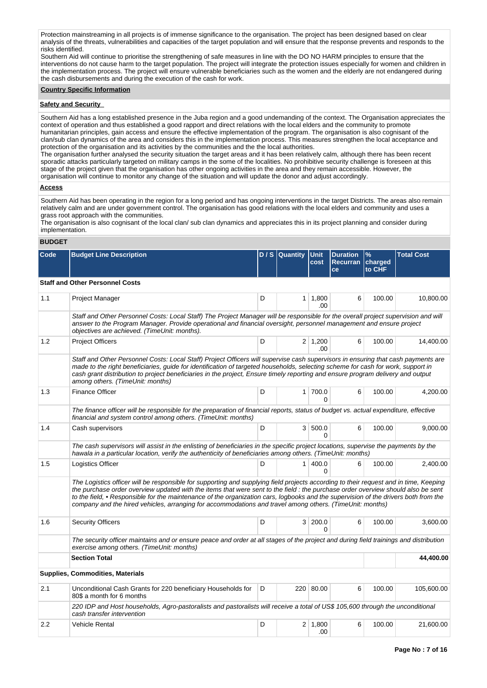Protection mainstreaming in all projects is of immense significance to the organisation. The project has been designed based on clear analysis of the threats, vulnerabilities and capacities of the target population and will ensure that the response prevents and responds to the risks identified.

Southern Aid will continue to prioritise the strengthening of safe measures in line with the DO NO HARM principles to ensure that the interventions do not cause harm to the target population. The project will integrate the protection issues especially for women and children in the implementation process. The project will ensure vulnerable beneficiaries such as the women and the elderly are not endangered during the cash disbursements and during the execution of the cash for work.

#### **Country Specific Information**

#### **Safety and Security**

Southern Aid has a long established presence in the Juba region and a good undemanding of the context. The Organisation appreciates the context of operation and thus established a good rapport and direct relations with the local elders and the community to promote humanitarian principles, gain access and ensure the effective implementation of the program. The organisation is also cognisant of the clan/sub clan dynamics of the area and considers this in the implementation process. This measures strengthen the local acceptance and protection of the organisation and its activities by the communities and the the local authorities.

The organisation further analysed the security situation the target areas and it has been relatively calm, although there has been recent sporadic attacks particularly targeted on military camps in the some of the localities. No prohibitive security challenge is foreseen at this stage of the project given that the organisation has other ongoing activities in the area and they remain accessible. However, the organisation will continue to monitor any change of the situation and will update the donor and adjust accordingly.

#### **Access**

Southern Aid has been operating in the region for a long period and has ongoing interventions in the target Districts. The areas also remain relatively calm and are under government control. The organisation has good relations with the local elders and community and uses a grass root approach with the communities.

The organisation is also cognisant of the local clan/ sub clan dynamics and appreciates this in its project planning and consider during implementation.

## **BUDGET**

| Code | <b>Budget Line Description</b>                                                                                                                                                                                                                                                                                                                                                                                                                                                                                               |   | D / S   Quantity | <b>Unit</b><br>cost   | <b>Duration</b><br>Recurran<br>ce | %<br>charged<br>to CHF | <b>Total Cost</b> |  |  |  |  |  |  |  |
|------|------------------------------------------------------------------------------------------------------------------------------------------------------------------------------------------------------------------------------------------------------------------------------------------------------------------------------------------------------------------------------------------------------------------------------------------------------------------------------------------------------------------------------|---|------------------|-----------------------|-----------------------------------|------------------------|-------------------|--|--|--|--|--|--|--|
|      | <b>Staff and Other Personnel Costs</b>                                                                                                                                                                                                                                                                                                                                                                                                                                                                                       |   |                  |                       |                                   |                        |                   |  |  |  |  |  |  |  |
| 1.1  | Project Manager                                                                                                                                                                                                                                                                                                                                                                                                                                                                                                              | D |                  | $1 \mid 1,800$<br>.00 | 6                                 | 100.00                 | 10,800.00         |  |  |  |  |  |  |  |
|      | Staff and Other Personnel Costs: Local Staff) The Project Manager will be responsible for the overall project supervision and will<br>answer to the Program Manager. Provide operational and financial oversight, personnel management and ensure project<br>objectives are achieved. (TimeUnit: months).                                                                                                                                                                                                                    |   |                  |                       |                                   |                        |                   |  |  |  |  |  |  |  |
| 1.2  | <b>Project Officers</b>                                                                                                                                                                                                                                                                                                                                                                                                                                                                                                      | D |                  | $2 \mid 1,200$<br>.00 | 6                                 | 100.00                 | 14,400.00         |  |  |  |  |  |  |  |
|      | Staff and Other Personnel Costs: Local Staff) Project Officers will supervise cash supervisors in ensuring that cash payments are<br>made to the right beneficiaries, quide for identification of targeted households, selecting scheme for cash for work, support in<br>cash grant distribution to project beneficiaries in the project, Ensure timely reporting and ensure program delivery and output<br>among others. (TimeUnit: months)                                                                                 |   |                  |                       |                                   |                        |                   |  |  |  |  |  |  |  |
| 1.3  | <b>Finance Officer</b>                                                                                                                                                                                                                                                                                                                                                                                                                                                                                                       | D |                  | 1 700.0<br>U          | 6                                 | 100.00                 | 4,200.00          |  |  |  |  |  |  |  |
|      | The finance officer will be responsible for the preparation of financial reports, status of budget vs. actual expenditure, effective<br>financial and system control among others. (TimeUnit: months)                                                                                                                                                                                                                                                                                                                        |   |                  |                       |                                   |                        |                   |  |  |  |  |  |  |  |
| 1.4  | Cash supervisors                                                                                                                                                                                                                                                                                                                                                                                                                                                                                                             | D |                  | 3   500.0<br>0        | 6                                 | 100.00                 | 9,000.00          |  |  |  |  |  |  |  |
|      | The cash supervisors will assist in the enlisting of beneficiaries in the specific project locations, supervise the payments by the<br>hawala in a particular location, verify the authenticity of beneficiaries among others. (TimeUnit: months)                                                                                                                                                                                                                                                                            |   |                  |                       |                                   |                        |                   |  |  |  |  |  |  |  |
| 1.5  | Logistics Officer                                                                                                                                                                                                                                                                                                                                                                                                                                                                                                            | D |                  | 1   400.0<br>$\Omega$ | 6                                 | 100.00                 | 2,400.00          |  |  |  |  |  |  |  |
|      | The Logistics officer will be responsible for supporting and supplying field projects according to their request and in time, Keeping<br>the purchase order overview updated with the items that were sent to the field : the purchase order overview should also be sent<br>to the field, • Responsible for the maintenance of the organization cars, logbooks and the supervision of the drivers both from the<br>company and the hired vehicles, arranging for accommodations and travel among others. (TimeUnit: months) |   |                  |                       |                                   |                        |                   |  |  |  |  |  |  |  |
| 1.6  | <b>Security Officers</b>                                                                                                                                                                                                                                                                                                                                                                                                                                                                                                     | D |                  | 3 200.0<br>0          | 6                                 | 100.00                 | 3,600.00          |  |  |  |  |  |  |  |
|      | The security officer maintains and or ensure peace and order at all stages of the project and during field trainings and distribution<br>exercise among others. (TimeUnit: months)                                                                                                                                                                                                                                                                                                                                           |   |                  |                       |                                   |                        |                   |  |  |  |  |  |  |  |
|      | <b>Section Total</b>                                                                                                                                                                                                                                                                                                                                                                                                                                                                                                         |   |                  |                       |                                   |                        | 44,400.00         |  |  |  |  |  |  |  |
|      | Supplies, Commodities, Materials                                                                                                                                                                                                                                                                                                                                                                                                                                                                                             |   |                  |                       |                                   |                        |                   |  |  |  |  |  |  |  |
| 2.1  | Unconditional Cash Grants for 220 beneficiary Households for<br>80\$ a month for 6 months                                                                                                                                                                                                                                                                                                                                                                                                                                    | D |                  | 220 80.00             | 6                                 | 100.00                 | 105,600.00        |  |  |  |  |  |  |  |
|      | 220 IDP and Host households, Agro-pastoralists and pastoralists will receive a total of US\$ 105,600 through the unconditional<br>cash transfer intervention                                                                                                                                                                                                                                                                                                                                                                 |   |                  |                       |                                   |                        |                   |  |  |  |  |  |  |  |
| 2.2  | <b>Vehicle Rental</b>                                                                                                                                                                                                                                                                                                                                                                                                                                                                                                        | D | $\overline{2}$   | 1,800<br>.00          | 6                                 | 100.00                 | 21,600.00         |  |  |  |  |  |  |  |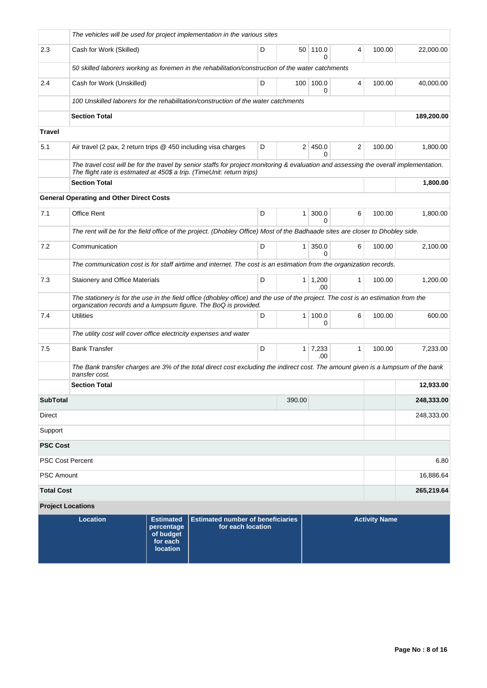|                                 | The vehicles will be used for project implementation in the various sites                                                                                                                                       |  |            |                |                  |                             |              |                      |            |  |  |  |
|---------------------------------|-----------------------------------------------------------------------------------------------------------------------------------------------------------------------------------------------------------------|--|------------|----------------|------------------|-----------------------------|--------------|----------------------|------------|--|--|--|
| 2.3                             | Cash for Work (Skilled)                                                                                                                                                                                         |  |            | D              |                  | 50 110.0<br>$\Omega$        | 4            | 100.00               | 22,000.00  |  |  |  |
|                                 | 50 skilled laborers working as foremen in the rehabilitation/construction of the water catchments                                                                                                               |  |            |                |                  |                             |              |                      |            |  |  |  |
| 2.4                             | Cash for Work (Unskilled)                                                                                                                                                                                       |  |            | D              | 100 <sup>1</sup> | 100.0<br>0                  | 4            | 100.00               | 40,000.00  |  |  |  |
|                                 | 100 Unskilled laborers for the rehabilitation/construction of the water catchments                                                                                                                              |  |            |                |                  |                             |              |                      |            |  |  |  |
|                                 | <b>Section Total</b>                                                                                                                                                                                            |  | 189,200.00 |                |                  |                             |              |                      |            |  |  |  |
| <b>Travel</b>                   |                                                                                                                                                                                                                 |  |            |                |                  |                             |              |                      |            |  |  |  |
| 5.1                             | Air travel (2 pax, 2 return trips $@$ 450 including visa charges                                                                                                                                                |  |            | D              |                  | 2 450.0<br><sup>0</sup>     | 2            | 100.00               | 1,800.00   |  |  |  |
|                                 | The travel cost will be for the travel by senior staffs for project monitoring & evaluation and assessing the overall implementation.<br>The flight rate is estimated at 450\$ a trip. (TimeUnit: return trips) |  |            |                |                  |                             |              |                      |            |  |  |  |
|                                 | <b>Section Total</b>                                                                                                                                                                                            |  |            |                |                  |                             |              |                      | 1,800.00   |  |  |  |
|                                 | <b>General Operating and Other Direct Costs</b>                                                                                                                                                                 |  |            |                |                  |                             |              |                      |            |  |  |  |
| 7.1                             | Office Rent                                                                                                                                                                                                     |  |            | D              | 1 <sup>1</sup>   | 300.0<br>0                  | 6            | 100.00               | 1,800.00   |  |  |  |
|                                 | The rent will be for the field office of the project. (Dhobley Office) Most of the Badhaade sites are closer to Dhobley side.                                                                                   |  |            |                |                  |                             |              |                      |            |  |  |  |
| 7.2                             | Communication                                                                                                                                                                                                   |  |            | D              | 1 <sup>1</sup>   | 350.0<br>0                  | 6            | 100.00               | 2,100.00   |  |  |  |
|                                 | The communication cost is for staff airtime and internet. The cost is an estimation from the organization records.                                                                                              |  |            |                |                  |                             |              |                      |            |  |  |  |
| 7.3                             | Staionery and Office Materials                                                                                                                                                                                  |  |            | D              |                  | $1 \mid 1,200$<br>.00       | $\mathbf{1}$ | 100.00               | 1,200.00   |  |  |  |
|                                 | The stationery is for the use in the field office (dhobley office) and the use of the project. The cost is an estimation from the<br>organization records and a lumpsum figure. The BoQ is provided.            |  |            |                |                  |                             |              |                      |            |  |  |  |
| 7.4                             | <b>Utilities</b>                                                                                                                                                                                                |  | D          | 1 <sup>1</sup> | 100.0<br>0       | 6                           | 100.00       | 600.00               |            |  |  |  |
|                                 | The utility cost will cover office electricity expenses and water                                                                                                                                               |  |            |                |                  |                             |              |                      |            |  |  |  |
| 7.5                             | <b>Bank Transfer</b>                                                                                                                                                                                            |  |            | D              |                  | $1 \overline{7,233}$<br>.00 | 1            | 100.00               | 7,233.00   |  |  |  |
|                                 | The Bank transfer charges are 3% of the total direct cost excluding the indirect cost. The amount given is a lumpsum of the bank<br>transfer cost.                                                              |  |            |                |                  |                             |              |                      |            |  |  |  |
|                                 | <b>Section Total</b><br>12,933.00                                                                                                                                                                               |  |            |                |                  |                             |              |                      |            |  |  |  |
| <b>SubTotal</b>                 | 390.00                                                                                                                                                                                                          |  |            |                |                  |                             |              |                      |            |  |  |  |
| Direct<br>248,333.00            |                                                                                                                                                                                                                 |  |            |                |                  |                             |              |                      |            |  |  |  |
| Support                         |                                                                                                                                                                                                                 |  |            |                |                  |                             |              |                      |            |  |  |  |
| <b>PSC Cost</b>                 |                                                                                                                                                                                                                 |  |            |                |                  |                             |              |                      |            |  |  |  |
| <b>PSC Cost Percent</b><br>6.80 |                                                                                                                                                                                                                 |  |            |                |                  |                             |              |                      |            |  |  |  |
| 16,886.64<br><b>PSC Amount</b>  |                                                                                                                                                                                                                 |  |            |                |                  |                             |              |                      |            |  |  |  |
| <b>Total Cost</b>               |                                                                                                                                                                                                                 |  |            |                |                  |                             |              |                      | 265,219.64 |  |  |  |
|                                 | <b>Project Locations</b>                                                                                                                                                                                        |  |            |                |                  |                             |              |                      |            |  |  |  |
|                                 | <b>Location</b><br><b>Estimated number of beneficiaries</b><br><b>Estimated</b><br>for each location<br>percentage<br>of budget<br>for each<br><b>location</b>                                                  |  |            |                |                  |                             |              | <b>Activity Name</b> |            |  |  |  |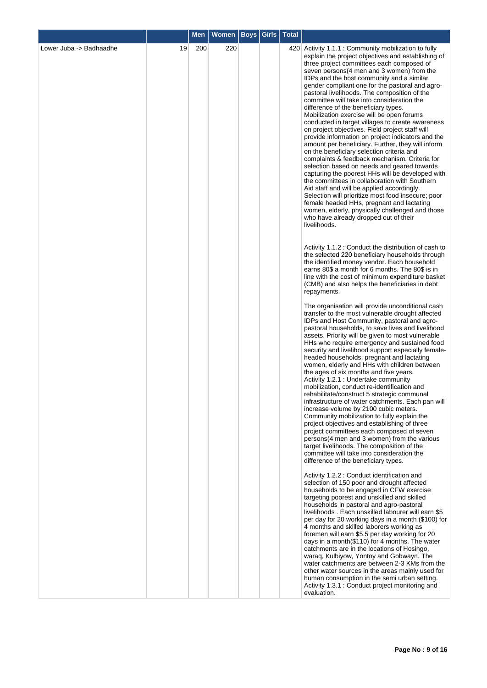|                         |    | <b>Men</b> | <b>Women</b> | <b>Boys   Girls   Total</b> |                                                                                                                                                                                                                                                                                                                                                                                                                                                                                                                                                                                                                                                                                                                                                                                                                                                                                                                                                                                                                                                                                                                                                                                                                                                                                                                                                                                                                                                                                                                                                            |
|-------------------------|----|------------|--------------|-----------------------------|------------------------------------------------------------------------------------------------------------------------------------------------------------------------------------------------------------------------------------------------------------------------------------------------------------------------------------------------------------------------------------------------------------------------------------------------------------------------------------------------------------------------------------------------------------------------------------------------------------------------------------------------------------------------------------------------------------------------------------------------------------------------------------------------------------------------------------------------------------------------------------------------------------------------------------------------------------------------------------------------------------------------------------------------------------------------------------------------------------------------------------------------------------------------------------------------------------------------------------------------------------------------------------------------------------------------------------------------------------------------------------------------------------------------------------------------------------------------------------------------------------------------------------------------------------|
| Lower Juba -> Badhaadhe | 19 | 200        | 220          |                             | 420 Activity 1.1.1 : Community mobilization to fully<br>explain the project objectives and establishing of<br>three project committees each composed of<br>seven persons (4 men and 3 women) from the<br>IDPs and the host community and a similar<br>gender compliant one for the pastoral and agro-<br>pastoral livelihoods. The composition of the<br>committee will take into consideration the<br>difference of the beneficiary types.<br>Mobilization exercise will be open forums<br>conducted in target villages to create awareness<br>on project objectives. Field project staff will<br>provide information on project indicators and the<br>amount per beneficiary. Further, they will inform<br>on the beneficiary selection criteria and<br>complaints & feedback mechanism. Criteria for<br>selection based on needs and geared towards<br>capturing the poorest HHs will be developed with<br>the committees in collaboration with Southern<br>Aid staff and will be applied accordingly.<br>Selection will prioritize most food insecure; poor<br>female headed HHs, pregnant and lactating<br>women, elderly, physically challenged and those<br>who have already dropped out of their<br>livelihoods.<br>Activity 1.1.2 : Conduct the distribution of cash to<br>the selected 220 beneficiary households through<br>the identified money vendor. Each household<br>earns 80\$ a month for 6 months. The 80\$ is in<br>line with the cost of minimum expenditure basket<br>(CMB) and also helps the beneficiaries in debt<br>repayments. |
|                         |    |            |              |                             | The organisation will provide unconditional cash<br>transfer to the most vulnerable drought affected<br>IDPs and Host Community, pastoral and agro-<br>pastoral households, to save lives and livelihood<br>assets. Priority will be given to most vulnerable<br>HHs who require emergency and sustained food<br>security and livelihood support especially female-<br>headed households, pregnant and lactating<br>women, elderly and HHs with children between<br>the ages of six months and five years.<br>Activity 1.2.1 : Undertake community<br>mobilization, conduct re-identification and<br>rehabilitate/construct 5 strategic communal<br>infrastructure of water catchments. Each pan will<br>increase volume by 2100 cubic meters.<br>Community mobilization to fully explain the<br>project objectives and establishing of three<br>project committees each composed of seven<br>persons(4 men and 3 women) from the various<br>target livelihoods. The composition of the<br>committee will take into consideration the<br>difference of the beneficiary types.                                                                                                                                                                                                                                                                                                                                                                                                                                                                              |
|                         |    |            |              |                             | Activity 1.2.2 : Conduct identification and<br>selection of 150 poor and drought affected<br>households to be engaged in CFW exercise<br>targeting poorest and unskilled and skilled<br>households in pastoral and agro-pastoral<br>livelihoods. Each unskilled labourer will earn \$5<br>per day for 20 working days in a month (\$100) for<br>4 months and skilled laborers working as<br>foremen will earn \$5.5 per day working for 20<br>days in a month(\$110) for 4 months. The water<br>catchments are in the locations of Hosingo,<br>waraq, Kulbiyow, Yontoy and Gobwayn. The<br>water catchments are between 2-3 KMs from the<br>other water sources in the areas mainly used for<br>human consumption in the semi urban setting.<br>Activity 1.3.1 : Conduct project monitoring and<br>evaluation.                                                                                                                                                                                                                                                                                                                                                                                                                                                                                                                                                                                                                                                                                                                                             |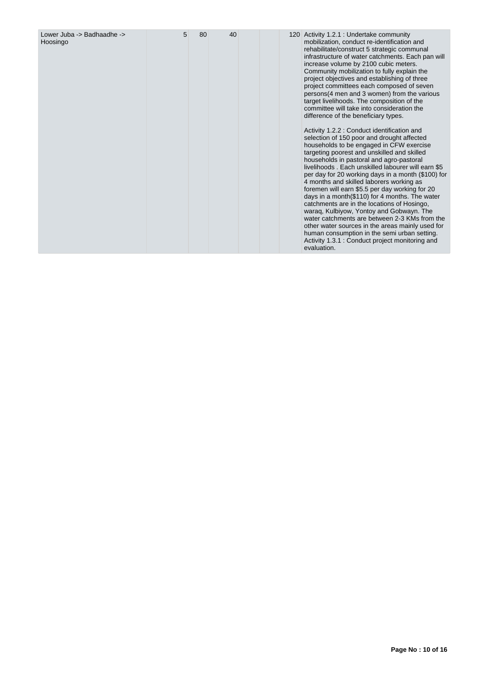| Lower Juba -> Badhaadhe -><br>Hoosingo | 5 | 80 | 40 |  |  | 120 Activity 1.2.1 : Undertake community<br>mobilization, conduct re-identification and<br>rehabilitate/construct 5 strategic communal<br>infrastructure of water catchments. Each pan will<br>increase volume by 2100 cubic meters.<br>Community mobilization to fully explain the<br>project objectives and establishing of three<br>project committees each composed of seven<br>persons(4 men and 3 women) from the various<br>target livelihoods. The composition of the<br>committee will take into consideration the<br>difference of the beneficiary types.<br>Activity 1.2.2 : Conduct identification and<br>selection of 150 poor and drought affected<br>households to be engaged in CFW exercise<br>targeting poorest and unskilled and skilled<br>households in pastoral and agro-pastoral<br>livelihoods. Each unskilled labourer will earn \$5<br>per day for 20 working days in a month (\$100) for<br>4 months and skilled laborers working as<br>foremen will earn \$5.5 per day working for 20<br>days in a month(\$110) for 4 months. The water<br>catchments are in the locations of Hosingo,<br>waraq, Kulbiyow, Yontoy and Gobwayn. The<br>water catchments are between 2-3 KMs from the<br>other water sources in the areas mainly used for<br>human consumption in the semi urban setting.<br>Activity 1.3.1 : Conduct project monitoring and<br>evaluation. |
|----------------------------------------|---|----|----|--|--|---------------------------------------------------------------------------------------------------------------------------------------------------------------------------------------------------------------------------------------------------------------------------------------------------------------------------------------------------------------------------------------------------------------------------------------------------------------------------------------------------------------------------------------------------------------------------------------------------------------------------------------------------------------------------------------------------------------------------------------------------------------------------------------------------------------------------------------------------------------------------------------------------------------------------------------------------------------------------------------------------------------------------------------------------------------------------------------------------------------------------------------------------------------------------------------------------------------------------------------------------------------------------------------------------------------------------------------------------------------------------------------|
|----------------------------------------|---|----|----|--|--|---------------------------------------------------------------------------------------------------------------------------------------------------------------------------------------------------------------------------------------------------------------------------------------------------------------------------------------------------------------------------------------------------------------------------------------------------------------------------------------------------------------------------------------------------------------------------------------------------------------------------------------------------------------------------------------------------------------------------------------------------------------------------------------------------------------------------------------------------------------------------------------------------------------------------------------------------------------------------------------------------------------------------------------------------------------------------------------------------------------------------------------------------------------------------------------------------------------------------------------------------------------------------------------------------------------------------------------------------------------------------------------|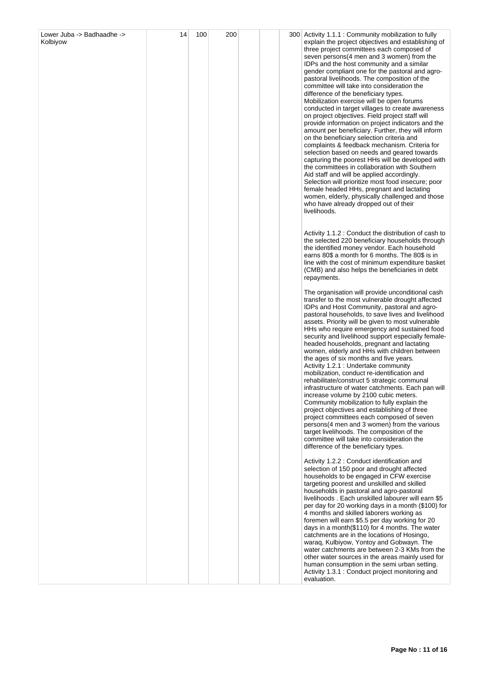| Lower Juba -> Badhaadhe -><br>Kolbiyow | 14 | 100 | 200 |  | 300 Activity 1.1.1 : Community mobilization to fully<br>explain the project objectives and establishing of<br>three project committees each composed of<br>seven persons (4 men and 3 women) from the<br>IDPs and the host community and a similar<br>gender compliant one for the pastoral and agro-<br>pastoral livelihoods. The composition of the<br>committee will take into consideration the<br>difference of the beneficiary types.<br>Mobilization exercise will be open forums<br>conducted in target villages to create awareness<br>on project objectives. Field project staff will<br>provide information on project indicators and the<br>amount per beneficiary. Further, they will inform<br>on the beneficiary selection criteria and<br>complaints & feedback mechanism. Criteria for<br>selection based on needs and geared towards<br>capturing the poorest HHs will be developed with<br>the committees in collaboration with Southern<br>Aid staff and will be applied accordingly.<br>Selection will prioritize most food insecure; poor<br>female headed HHs, pregnant and lactating<br>women, elderly, physically challenged and those<br>who have already dropped out of their<br>livelihoods. |
|----------------------------------------|----|-----|-----|--|--------------------------------------------------------------------------------------------------------------------------------------------------------------------------------------------------------------------------------------------------------------------------------------------------------------------------------------------------------------------------------------------------------------------------------------------------------------------------------------------------------------------------------------------------------------------------------------------------------------------------------------------------------------------------------------------------------------------------------------------------------------------------------------------------------------------------------------------------------------------------------------------------------------------------------------------------------------------------------------------------------------------------------------------------------------------------------------------------------------------------------------------------------------------------------------------------------------------------|
|                                        |    |     |     |  | Activity 1.1.2 : Conduct the distribution of cash to<br>the selected 220 beneficiary households through<br>the identified money vendor. Each household<br>earns 80\$ a month for 6 months. The 80\$ is in<br>line with the cost of minimum expenditure basket<br>(CMB) and also helps the beneficiaries in debt<br>repayments.                                                                                                                                                                                                                                                                                                                                                                                                                                                                                                                                                                                                                                                                                                                                                                                                                                                                                           |
|                                        |    |     |     |  | The organisation will provide unconditional cash<br>transfer to the most vulnerable drought affected<br>IDPs and Host Community, pastoral and agro-<br>pastoral households, to save lives and livelihood<br>assets. Priority will be given to most vulnerable<br>HHs who require emergency and sustained food<br>security and livelihood support especially female-<br>headed households, pregnant and lactating<br>women, elderly and HHs with children between<br>the ages of six months and five years.<br>Activity 1.2.1 : Undertake community<br>mobilization, conduct re-identification and<br>rehabilitate/construct 5 strategic communal<br>infrastructure of water catchments. Each pan will<br>increase volume by 2100 cubic meters.<br>Community mobilization to fully explain the<br>project objectives and establishing of three<br>project committees each composed of seven<br>persons(4 men and 3 women) from the various<br>target livelihoods. The composition of the<br>committee will take into consideration the<br>difference of the beneficiary types.                                                                                                                                            |
|                                        |    |     |     |  | Activity 1.2.2 : Conduct identification and<br>selection of 150 poor and drought affected<br>households to be engaged in CFW exercise<br>targeting poorest and unskilled and skilled<br>households in pastoral and agro-pastoral<br>livelihoods. Each unskilled labourer will earn \$5<br>per day for 20 working days in a month (\$100) for<br>4 months and skilled laborers working as<br>foremen will earn \$5.5 per day working for 20<br>days in a month(\$110) for 4 months. The water<br>catchments are in the locations of Hosingo,<br>waraq, Kulbiyow, Yontoy and Gobwayn. The<br>water catchments are between 2-3 KMs from the<br>other water sources in the areas mainly used for<br>human consumption in the semi urban setting.<br>Activity 1.3.1 : Conduct project monitoring and<br>evaluation.                                                                                                                                                                                                                                                                                                                                                                                                           |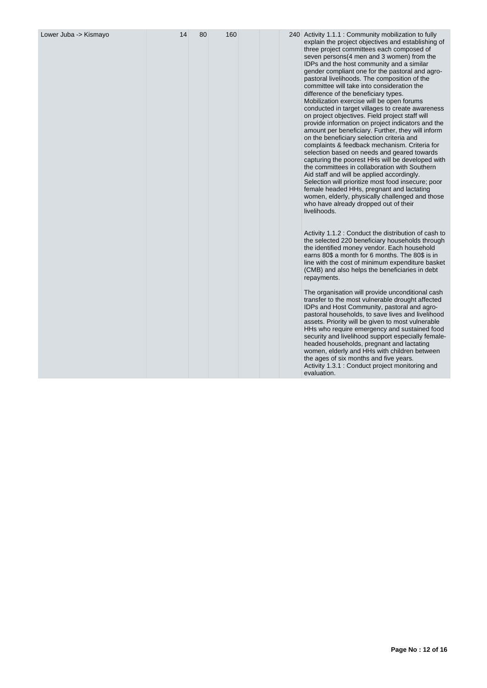| Lower Juba -> Kismayo | 14 | 80 | 160 |  | 240 Activity 1.1.1 : Community mobilization to fully<br>explain the project objectives and establishing of<br>three project committees each composed of<br>seven persons(4 men and 3 women) from the<br>IDPs and the host community and a similar<br>gender compliant one for the pastoral and agro-<br>pastoral livelihoods. The composition of the<br>committee will take into consideration the<br>difference of the beneficiary types.<br>Mobilization exercise will be open forums<br>conducted in target villages to create awareness<br>on project objectives. Field project staff will<br>provide information on project indicators and the<br>amount per beneficiary. Further, they will inform<br>on the beneficiary selection criteria and<br>complaints & feedback mechanism. Criteria for<br>selection based on needs and geared towards<br>capturing the poorest HHs will be developed with<br>the committees in collaboration with Southern<br>Aid staff and will be applied accordingly.<br>Selection will prioritize most food insecure; poor<br>female headed HHs, pregnant and lactating<br>women, elderly, physically challenged and those<br>who have already dropped out of their<br>livelihoods. |
|-----------------------|----|----|-----|--|-------------------------------------------------------------------------------------------------------------------------------------------------------------------------------------------------------------------------------------------------------------------------------------------------------------------------------------------------------------------------------------------------------------------------------------------------------------------------------------------------------------------------------------------------------------------------------------------------------------------------------------------------------------------------------------------------------------------------------------------------------------------------------------------------------------------------------------------------------------------------------------------------------------------------------------------------------------------------------------------------------------------------------------------------------------------------------------------------------------------------------------------------------------------------------------------------------------------------|
|                       |    |    |     |  | Activity 1.1.2 : Conduct the distribution of cash to<br>the selected 220 beneficiary households through<br>the identified money vendor. Each household<br>earns 80\$ a month for 6 months. The 80\$ is in<br>line with the cost of minimum expenditure basket<br>(CMB) and also helps the beneficiaries in debt<br>repayments.                                                                                                                                                                                                                                                                                                                                                                                                                                                                                                                                                                                                                                                                                                                                                                                                                                                                                          |
|                       |    |    |     |  | The organisation will provide unconditional cash<br>transfer to the most vulnerable drought affected<br>IDPs and Host Community, pastoral and agro-<br>pastoral households, to save lives and livelihood<br>assets. Priority will be given to most vulnerable<br>HHs who require emergency and sustained food<br>security and livelihood support especially female-<br>headed households, pregnant and lactating<br>women, elderly and HHs with children between<br>the ages of six months and five years.<br>Activity 1.3.1 : Conduct project monitoring and<br>evaluation.                                                                                                                                                                                                                                                                                                                                                                                                                                                                                                                                                                                                                                            |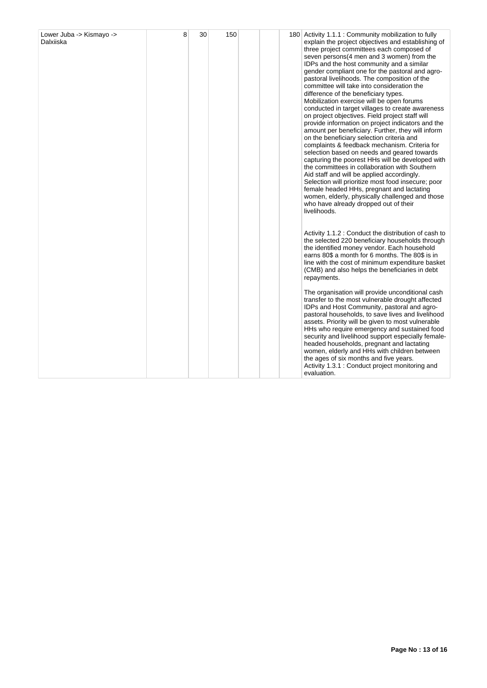| Lower Juba -> Kismayo -><br>Dalxiiska | 8 | 30 | 150 |  | 180 Activity 1.1.1 : Community mobilization to fully<br>explain the project objectives and establishing of<br>three project committees each composed of<br>seven persons (4 men and 3 women) from the<br>IDPs and the host community and a similar<br>gender compliant one for the pastoral and agro-<br>pastoral livelihoods. The composition of the<br>committee will take into consideration the<br>difference of the beneficiary types.<br>Mobilization exercise will be open forums<br>conducted in target villages to create awareness<br>on project objectives. Field project staff will<br>provide information on project indicators and the<br>amount per beneficiary. Further, they will inform<br>on the beneficiary selection criteria and<br>complaints & feedback mechanism. Criteria for<br>selection based on needs and geared towards<br>capturing the poorest HHs will be developed with<br>the committees in collaboration with Southern<br>Aid staff and will be applied accordingly.<br>Selection will prioritize most food insecure; poor<br>female headed HHs, pregnant and lactating<br>women, elderly, physically challenged and those<br>who have already dropped out of their<br>livelihoods. |
|---------------------------------------|---|----|-----|--|--------------------------------------------------------------------------------------------------------------------------------------------------------------------------------------------------------------------------------------------------------------------------------------------------------------------------------------------------------------------------------------------------------------------------------------------------------------------------------------------------------------------------------------------------------------------------------------------------------------------------------------------------------------------------------------------------------------------------------------------------------------------------------------------------------------------------------------------------------------------------------------------------------------------------------------------------------------------------------------------------------------------------------------------------------------------------------------------------------------------------------------------------------------------------------------------------------------------------|
|                                       |   |    |     |  | Activity 1.1.2 : Conduct the distribution of cash to<br>the selected 220 beneficiary households through<br>the identified money vendor. Each household<br>earns 80\$ a month for 6 months. The 80\$ is in<br>line with the cost of minimum expenditure basket<br>(CMB) and also helps the beneficiaries in debt<br>repayments.                                                                                                                                                                                                                                                                                                                                                                                                                                                                                                                                                                                                                                                                                                                                                                                                                                                                                           |
|                                       |   |    |     |  | The organisation will provide unconditional cash<br>transfer to the most vulnerable drought affected<br>IDPs and Host Community, pastoral and agro-<br>pastoral households, to save lives and livelihood<br>assets. Priority will be given to most vulnerable<br>HHs who require emergency and sustained food<br>security and livelihood support especially female-<br>headed households, pregnant and lactating<br>women, elderly and HHs with children between<br>the ages of six months and five years.<br>Activity 1.3.1 : Conduct project monitoring and<br>evaluation.                                                                                                                                                                                                                                                                                                                                                                                                                                                                                                                                                                                                                                             |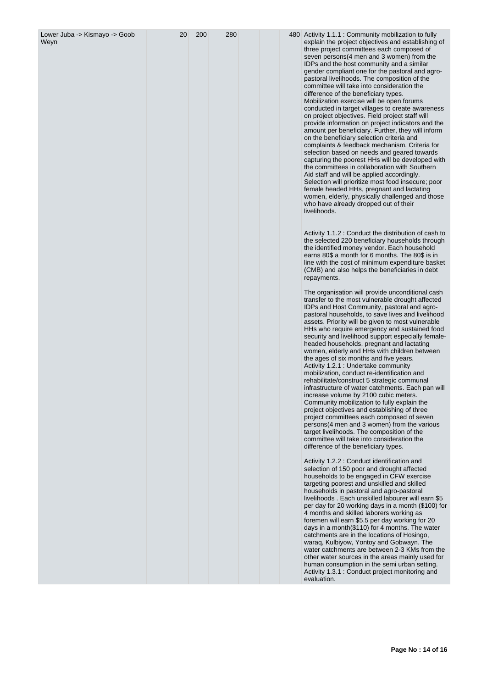| Lower Juba -> Kismayo -> Goob<br>Weyn | 20 | 200 | 280 |  | 480 Activity 1.1.1 : Community mobilization to fully<br>explain the project objectives and establishing of<br>three project committees each composed of<br>seven persons(4 men and 3 women) from the<br>IDPs and the host community and a similar<br>gender compliant one for the pastoral and agro-<br>pastoral livelihoods. The composition of the<br>committee will take into consideration the<br>difference of the beneficiary types.<br>Mobilization exercise will be open forums<br>conducted in target villages to create awareness<br>on project objectives. Field project staff will<br>provide information on project indicators and the<br>amount per beneficiary. Further, they will inform<br>on the beneficiary selection criteria and<br>complaints & feedback mechanism. Criteria for<br>selection based on needs and geared towards<br>capturing the poorest HHs will be developed with<br>the committees in collaboration with Southern<br>Aid staff and will be applied accordingly.<br>Selection will prioritize most food insecure; poor<br>female headed HHs, pregnant and lactating<br>women, elderly, physically challenged and those<br>who have already dropped out of their<br>livelihoods. |
|---------------------------------------|----|-----|-----|--|-------------------------------------------------------------------------------------------------------------------------------------------------------------------------------------------------------------------------------------------------------------------------------------------------------------------------------------------------------------------------------------------------------------------------------------------------------------------------------------------------------------------------------------------------------------------------------------------------------------------------------------------------------------------------------------------------------------------------------------------------------------------------------------------------------------------------------------------------------------------------------------------------------------------------------------------------------------------------------------------------------------------------------------------------------------------------------------------------------------------------------------------------------------------------------------------------------------------------|
|                                       |    |     |     |  | Activity 1.1.2 : Conduct the distribution of cash to<br>the selected 220 beneficiary households through<br>the identified money vendor. Each household<br>earns 80\$ a month for 6 months. The 80\$ is in<br>line with the cost of minimum expenditure basket<br>(CMB) and also helps the beneficiaries in debt<br>repayments.                                                                                                                                                                                                                                                                                                                                                                                                                                                                                                                                                                                                                                                                                                                                                                                                                                                                                          |
|                                       |    |     |     |  | The organisation will provide unconditional cash<br>transfer to the most vulnerable drought affected<br>IDPs and Host Community, pastoral and agro-<br>pastoral households, to save lives and livelihood<br>assets. Priority will be given to most vulnerable<br>HHs who require emergency and sustained food<br>security and livelihood support especially female-<br>headed households, pregnant and lactating<br>women, elderly and HHs with children between<br>the ages of six months and five years.<br>Activity 1.2.1 : Undertake community<br>mobilization, conduct re-identification and<br>rehabilitate/construct 5 strategic communal<br>infrastructure of water catchments. Each pan will<br>increase volume by 2100 cubic meters.<br>Community mobilization to fully explain the<br>project objectives and establishing of three<br>project committees each composed of seven<br>persons(4 men and 3 women) from the various<br>target livelihoods. The composition of the<br>committee will take into consideration the<br>difference of the beneficiary types.                                                                                                                                           |
|                                       |    |     |     |  | Activity 1.2.2 : Conduct identification and<br>selection of 150 poor and drought affected<br>households to be engaged in CFW exercise<br>targeting poorest and unskilled and skilled<br>households in pastoral and agro-pastoral<br>livelihoods. Each unskilled labourer will earn \$5<br>per day for 20 working days in a month (\$100) for<br>4 months and skilled laborers working as<br>foremen will earn \$5.5 per day working for 20<br>days in a month(\$110) for 4 months. The water<br>catchments are in the locations of Hosingo,<br>waraq, Kulbiyow, Yontoy and Gobwayn. The<br>water catchments are between 2-3 KMs from the<br>other water sources in the areas mainly used for<br>human consumption in the semi urban setting.<br>Activity 1.3.1 : Conduct project monitoring and<br>evaluation.                                                                                                                                                                                                                                                                                                                                                                                                          |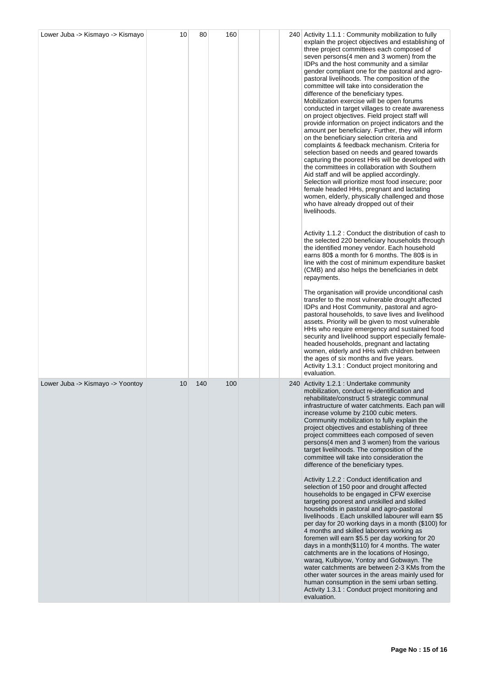| Lower Juba -> Kismayo -> Kismayo | 10 | 80  | 160 |  | 240 Activity 1.1.1 : Community mobilization to fully<br>explain the project objectives and establishing of<br>three project committees each composed of<br>seven persons(4 men and 3 women) from the<br>IDPs and the host community and a similar<br>gender compliant one for the pastoral and agro-<br>pastoral livelihoods. The composition of the<br>committee will take into consideration the<br>difference of the beneficiary types.<br>Mobilization exercise will be open forums<br>conducted in target villages to create awareness<br>on project objectives. Field project staff will<br>provide information on project indicators and the<br>amount per beneficiary. Further, they will inform<br>on the beneficiary selection criteria and<br>complaints & feedback mechanism. Criteria for<br>selection based on needs and geared towards<br>capturing the poorest HHs will be developed with<br>the committees in collaboration with Southern<br>Aid staff and will be applied accordingly.<br>Selection will prioritize most food insecure; poor<br>female headed HHs, pregnant and lactating<br>women, elderly, physically challenged and those<br>who have already dropped out of their<br>livelihoods.<br>Activity 1.1.2 : Conduct the distribution of cash to<br>the selected 220 beneficiary households through<br>the identified money vendor. Each household<br>earns 80\$ a month for 6 months. The 80\$ is in<br>line with the cost of minimum expenditure basket<br>(CMB) and also helps the beneficiaries in debt<br>repayments.<br>The organisation will provide unconditional cash<br>transfer to the most vulnerable drought affected<br>IDPs and Host Community, pastoral and agro-<br>pastoral households, to save lives and livelihood<br>assets. Priority will be given to most vulnerable<br>HHs who require emergency and sustained food<br>security and livelihood support especially female-<br>headed households, pregnant and lactating<br>women, elderly and HHs with children between<br>the ages of six months and five years.<br>Activity 1.3.1 : Conduct project monitoring and |
|----------------------------------|----|-----|-----|--|----------------------------------------------------------------------------------------------------------------------------------------------------------------------------------------------------------------------------------------------------------------------------------------------------------------------------------------------------------------------------------------------------------------------------------------------------------------------------------------------------------------------------------------------------------------------------------------------------------------------------------------------------------------------------------------------------------------------------------------------------------------------------------------------------------------------------------------------------------------------------------------------------------------------------------------------------------------------------------------------------------------------------------------------------------------------------------------------------------------------------------------------------------------------------------------------------------------------------------------------------------------------------------------------------------------------------------------------------------------------------------------------------------------------------------------------------------------------------------------------------------------------------------------------------------------------------------------------------------------------------------------------------------------------------------------------------------------------------------------------------------------------------------------------------------------------------------------------------------------------------------------------------------------------------------------------------------------------------------------------------------------------------------------------------------------------------------------------------------------------------|
| Lower Juba -> Kismayo -> Yoontoy | 10 | 140 | 100 |  | evaluation.<br>240 Activity 1.2.1 : Undertake community<br>mobilization, conduct re-identification and<br>rehabilitate/construct 5 strategic communal<br>infrastructure of water catchments. Each pan will<br>increase volume by 2100 cubic meters.<br>Community mobilization to fully explain the<br>project objectives and establishing of three<br>project committees each composed of seven<br>persons(4 men and 3 women) from the various<br>target livelihoods. The composition of the<br>committee will take into consideration the<br>difference of the beneficiary types.<br>Activity 1.2.2 : Conduct identification and<br>selection of 150 poor and drought affected<br>households to be engaged in CFW exercise<br>targeting poorest and unskilled and skilled<br>households in pastoral and agro-pastoral<br>livelihoods. Each unskilled labourer will earn \$5<br>per day for 20 working days in a month (\$100) for<br>4 months and skilled laborers working as<br>foremen will earn \$5.5 per day working for 20<br>days in a month(\$110) for 4 months. The water<br>catchments are in the locations of Hosingo,<br>waraq, Kulbiyow, Yontoy and Gobwayn. The<br>water catchments are between 2-3 KMs from the<br>other water sources in the areas mainly used for<br>human consumption in the semi urban setting.<br>Activity 1.3.1 : Conduct project monitoring and<br>evaluation.                                                                                                                                                                                                                                                                                                                                                                                                                                                                                                                                                                                                                                                                                                                       |